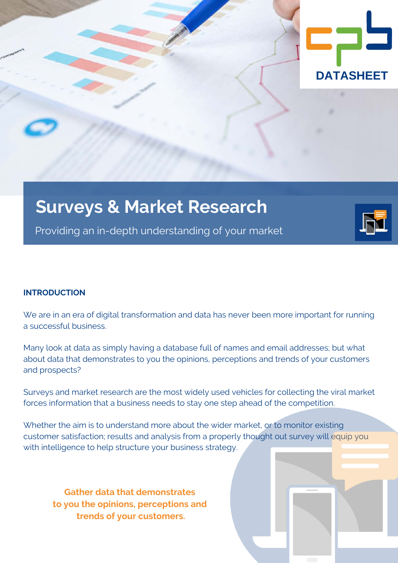

# **Surveys & Market Research**

Providing an in-depth understanding of your market

# **INTRODUCTION**

We are in an era of digital transformation and data has never been more important for running a successful business.

Many look at data as simply having a database full of names and email addresses; but what about data that demonstrates to you the opinions, perceptions and trends of your customers and prospects?

Surveys and market research are the most widely used vehicles for collecting the viral market forces information that a business needs to stay one step ahead of the competition.

Whether the aim is to understand more about the wider market, or to monitor existing customer satisfaction; results and analysis from a properly thought out survey will equip you with intelligence to help structure your business strategy.

**Gather data that demonstrates to you the opinions, perceptions and trends of your customers.**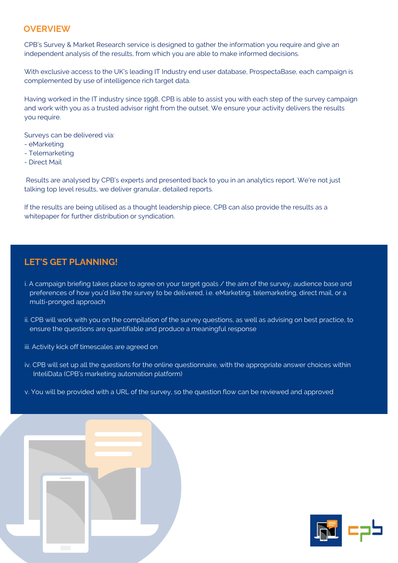### **OVERVIEW**

CPB's Survey & Market Research service is designed to gather the information you require and give an independent analysis of the results, from which you are able to make informed decisions.

With exclusive access to the UK's leading IT Industry end user database, ProspectaBase, each campaign is complemented by use of intelligence rich target data.

Having worked in the IT industry since 1998, CPB is able to assist you with each step of the survey campaign and work with you as a trusted advisor right from the outset. We ensure your activity delivers the results you require.

Surveys can be delivered via:

- eMarketing
- Telemarketing
- Direct Mail

 Results are analysed by CPB's experts and presented back to you in an analytics report. We're not just talking top level results, we deliver granular, detailed reports.

If the results are being utilised as a thought leadership piece, CPB can also provide the results as a whitepaper for further distribution or syndication.

# **LET'S GET PLANNING!**

- i. A campaign briefing takes place to agree on your target goals / the aim of the survey, audience base and preferences of how you'd like the survey to be delivered, i.e. eMarketing, telemarketing, direct mail, or a multi-pronged approach
- ii. CPB will work with you on the compilation of the survey questions, as well as advising on best practice, to ensure the questions are quantifiable and produce a meaningful response

iii. Activity kick off timescales are agreed on

- iv. CPB will set up all the questions for the online questionnaire, with the appropriate answer choices within InteliData (CPB's marketing automation platform)
- v. You will be provided with a URL of the survey, so the question flow can be reviewed and approved



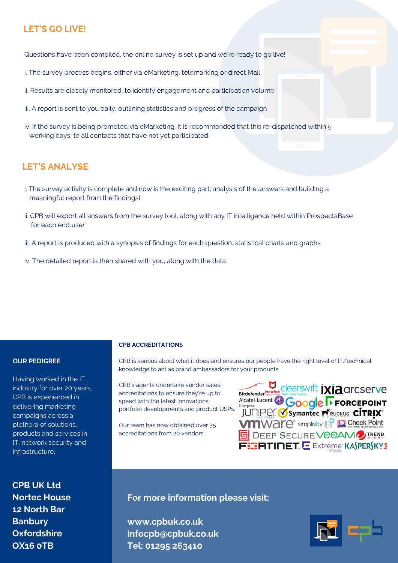# **LET'S GO LIVE!**

Questions have been compiled, the online survey is set up and we're ready to go live!

- i. The survey process begins, either via eMarketing, telemarking or direct Mail
- ii. Results are closely monitored, to identify engagement and participation volume
- iii. A report is sent to you daily, outlining statistics and progress of the campaign
- iv. If the survey is being promoted via eMarketing, it is recommended that this re-dispatched within 5 working days, to all contacts that have not yet participated

## **LET'S ANALYSE**

- i. The survey activity is complete and now is the exciting part; analysis of the answers and building a meaningful report from the findings!
- ii. CPB will export all answers from the survey tool, along with any IT intelligence held within ProspectaBase for each end user
- iii. A report is produced with a synopsis of findings for each question, statistical charts and graphs
- iv. The detailed report is then shared with you, along with the data

#### **OUR PEDIGREE**

Having worked in the IT industry for over 20 years, CPB is experienced in delivering marketing campaigns across a plethora of solutions, products and services in IT, network security and infrastructure.

**CPB UK Ltd Nortec House 12 North Bar Banbury Oxfordshire OX16 0TB**

#### **CPB ACCREDITATIONS**

CPB is serious about what it does and ensures our people have the right level of IT/technical knowledge to act as brand ambassadors for your products.

CPB's agents undertake vendor sales accreditations to ensure they're up to speed with the latest innovations, portfolio developments and product USPs.

Our team has now obtained over 75 accreditations from 20 vendors.

Bitdefender MeAfee ClearSWIft *IXIA CITCSETVE*<br>Alcatel·Lucent *OGoogle F FORCEPOINT*<br>JUNIPER *Symanted* MeAuckus CITRIX **VMWare** simplivity **B D** Check Point **5 DEEP SECURE VEEAMD TREND** FEERTINET. E Extreme KASPERSKYS

**For more information please visit:** 

**www.cpbuk.co.uk infocpb@cpbuk.co.uk Tel: 01295 263410**